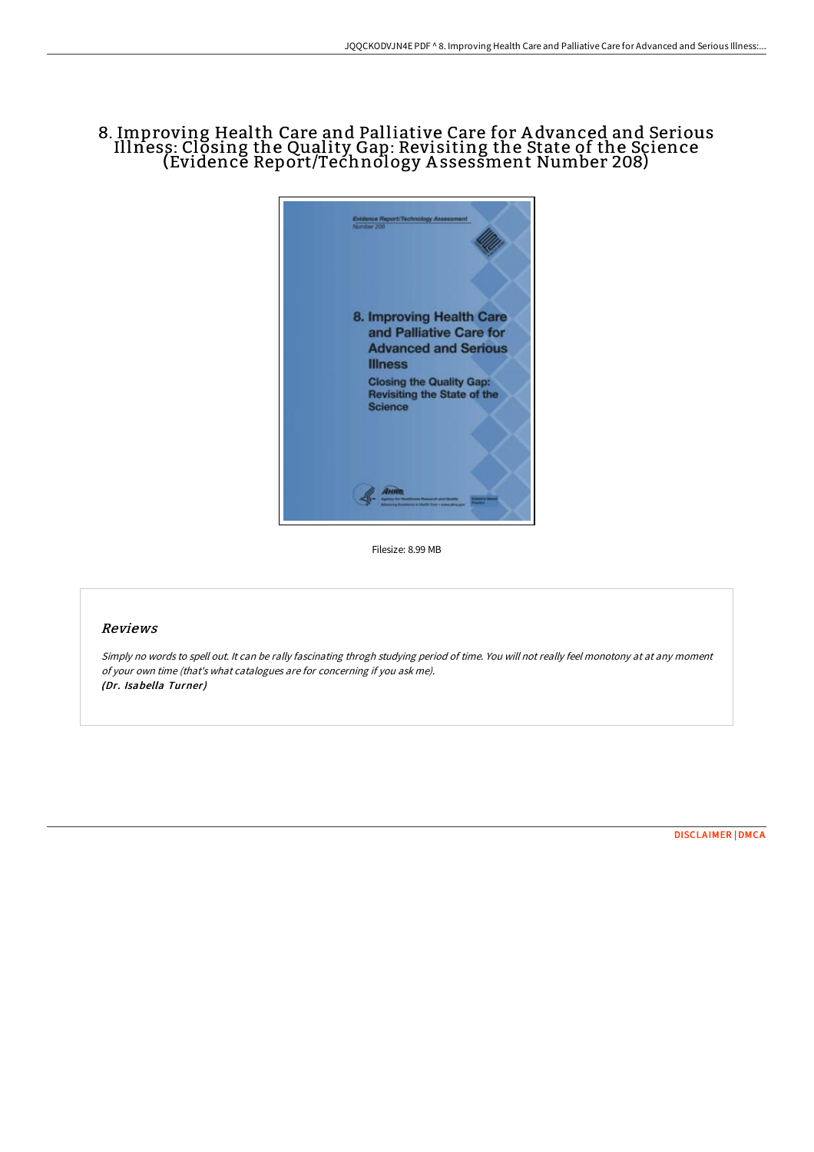## 8. Improving Health Care and Palliative Care for A dvanced and Serious Illness: Closing the Quality Gap: Revisiting the State of the Science (Evidence Report/Technology A ssessment Number 208)



Filesize: 8.99 MB

## Reviews

Simply no words to spell out. It can be rally fascinating throgh studying period of time. You will not really feel monotony at at any moment of your own time (that's what catalogues are for concerning if you ask me). (Dr. Isabella Turner)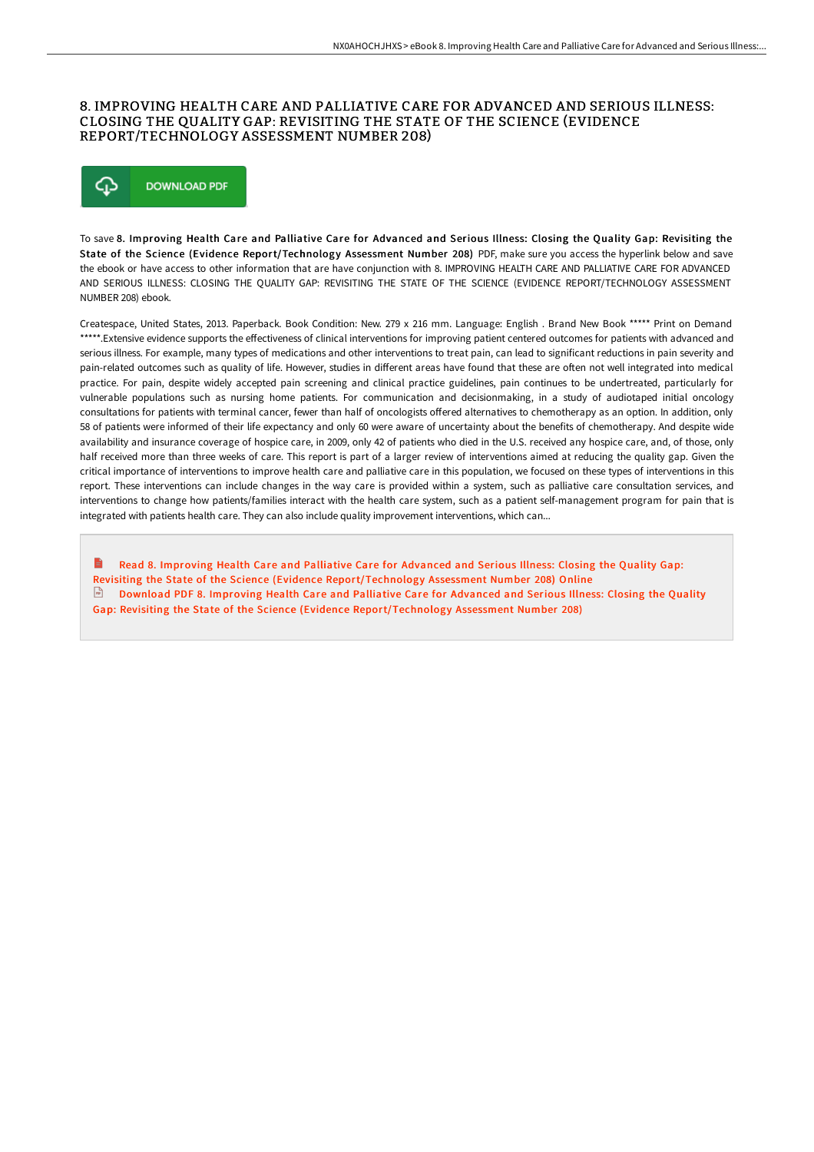## 8. IMPROVING HEALTH CARE AND PALLIATIVE CARE FOR ADVANCED AND SERIOUS ILLNESS: CLOSING THE QUALITY GAP: REVISITING THE STATE OF THE SCIENCE (EVIDENCE REPORT/TECHNOLOGY ASSESSMENT NUMBER 208)



To save 8. Improving Health Care and Palliative Care for Advanced and Serious Illness: Closing the Quality Gap: Revisiting the State of the Science (Evidence Report/Technology Assessment Number 208) PDF, make sure you access the hyperlink below and save the ebook or have access to other information that are have conjunction with 8. IMPROVING HEALTH CARE AND PALLIATIVE CARE FOR ADVANCED AND SERIOUS ILLNESS: CLOSING THE QUALITY GAP: REVISITING THE STATE OF THE SCIENCE (EVIDENCE REPORT/TECHNOLOGY ASSESSMENT NUMBER 208) ebook.

Createspace, United States, 2013. Paperback. Book Condition: New. 279 x 216 mm. Language: English . Brand New Book \*\*\*\*\* Print on Demand \*\*\*\*\*.Extensive evidence supports the effectiveness of clinical interventions for improving patient centered outcomes for patients with advanced and serious illness. For example, many types of medications and other interventions to treat pain, can lead to significant reductions in pain severity and pain-related outcomes such as quality of life. However, studies in different areas have found that these are often not well integrated into medical practice. For pain, despite widely accepted pain screening and clinical practice guidelines, pain continues to be undertreated, particularly for vulnerable populations such as nursing home patients. For communication and decisionmaking, in a study of audiotaped initial oncology consultations for patients with terminal cancer, fewer than half of oncologists offered alternatives to chemotherapy as an option. In addition, only 58 of patients were informed of their life expectancy and only 60 were aware of uncertainty about the benefits of chemotherapy. And despite wide availability and insurance coverage of hospice care, in 2009, only 42 of patients who died in the U.S. received any hospice care, and, of those, only half received more than three weeks of care. This report is part of a larger review of interventions aimed at reducing the quality gap. Given the critical importance of interventions to improve health care and palliative care in this population, we focused on these types of interventions in this report. These interventions can include changes in the way care is provided within a system, such as palliative care consultation services, and interventions to change how patients/families interact with the health care system, such as a patient self-management program for pain that is integrated with patients health care. They can also include quality improvement interventions, which can...

Read 8. Improving Health Care and Palliative Care for Advanced and Serious Illness: Closing the Quality Gap: Revisiting the State of the Science (Evidence [Report/Technology](http://www.bookdirs.com/8-improving-health-care-and-palliative-care-for-.html) Assessment Number 208) Online **Download PDF 8. Improving Health Care and Palliative Care for Advanced and Serious Illness: Closing the Quality** Gap: Revisiting the State of the Science (Evidence [Report/Technology](http://www.bookdirs.com/8-improving-health-care-and-palliative-care-for-.html) Assessment Number 208)